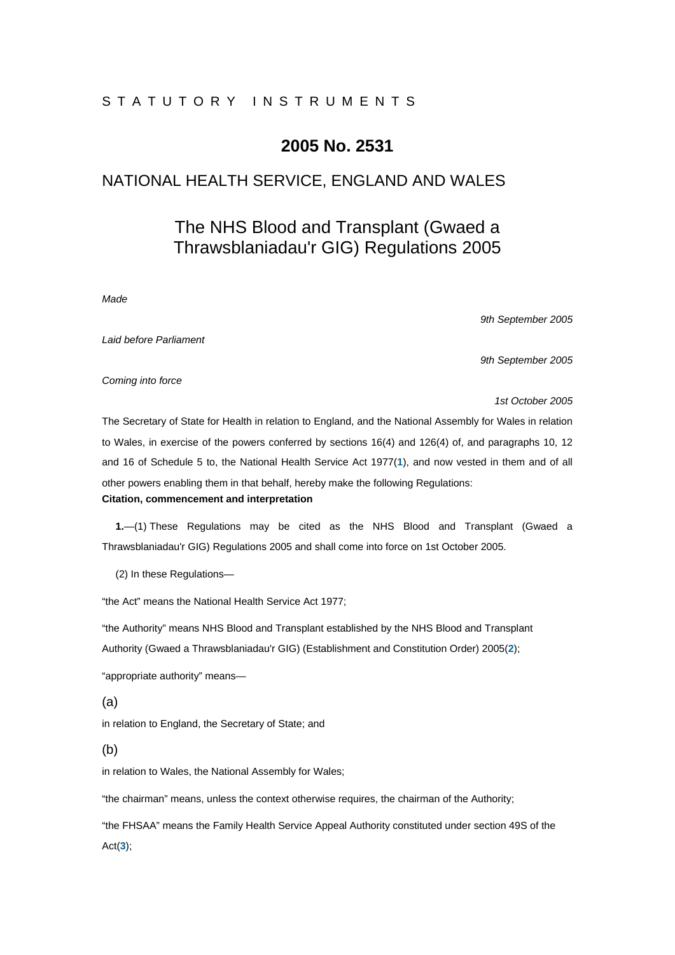# STATUTORY INSTRUMENTS

# **2005 No. 2531**

# NATIONAL HEALTH SERVICE, ENGLAND AND WALES

# The NHS Blood and Transplant (Gwaed a Thrawsblaniadau'r GIG) Regulations 2005

#### *Made*

*9th September 2005* 

*Laid before Parliament* 

*9th September 2005* 

*Coming into force* 

*1st October 2005* 

The Secretary of State for Health in relation to England, and the National Assembly for Wales in relation to Wales, in exercise of the powers conferred by sections 16(4) and 126(4) of, and paragraphs 10, 12 and 16 of Schedule 5 to, the National Health Service Act 1977(**1**), and now vested in them and of all other powers enabling them in that behalf, hereby make the following Regulations: **Citation, commencement and interpretation** 

**1.**—(1) These Regulations may be cited as the NHS Blood and Transplant (Gwaed a Thrawsblaniadau'r GIG) Regulations 2005 and shall come into force on 1st October 2005.

(2) In these Regulations—

"the Act" means the National Health Service Act 1977;

"the Authority" means NHS Blood and Transplant established by the NHS Blood and Transplant Authority (Gwaed a Thrawsblaniadau'r GIG) (Establishment and Constitution Order) 2005(**2**);

"appropriate authority" means—

(a)

in relation to England, the Secretary of State; and

(b)

in relation to Wales, the National Assembly for Wales;

"the chairman" means, unless the context otherwise requires, the chairman of the Authority;

"the FHSAA" means the Family Health Service Appeal Authority constituted under section 49S of the Act(**3**);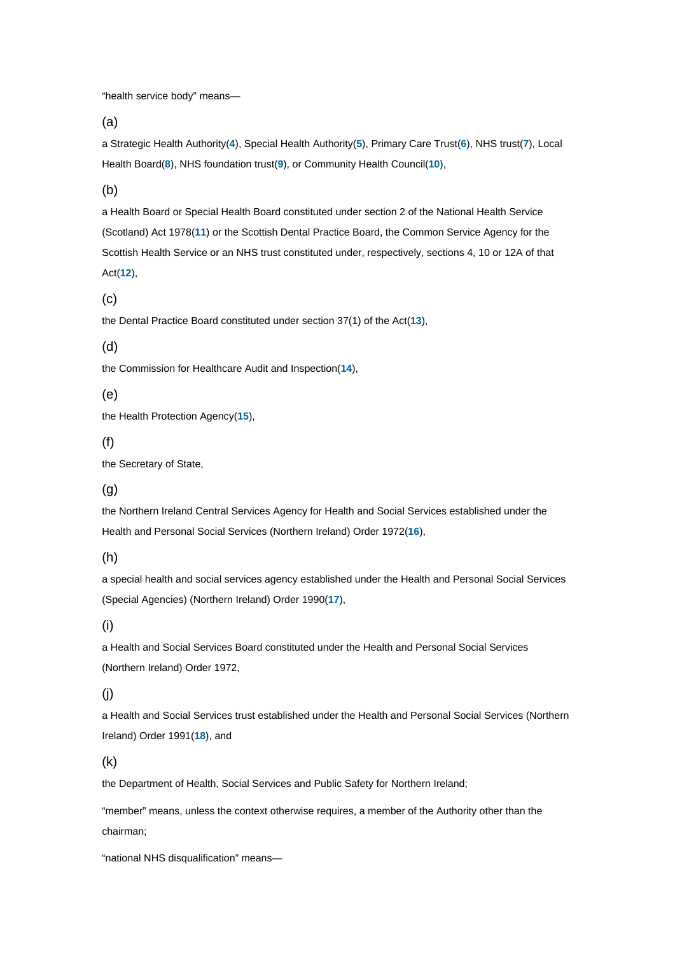"health service body" means—

(a)

a Strategic Health Authority(**4**), Special Health Authority(**5**), Primary Care Trust(**6**), NHS trust(**7**), Local Health Board(**8**), NHS foundation trust(**9**), or Community Health Council(**10**),

(b)

a Health Board or Special Health Board constituted under section 2 of the National Health Service (Scotland) Act 1978(**11**) or the Scottish Dental Practice Board, the Common Service Agency for the Scottish Health Service or an NHS trust constituted under, respectively, sections 4, 10 or 12A of that Act(**12**),

(c)

the Dental Practice Board constituted under section 37(1) of the Act(**13**),

(d)

the Commission for Healthcare Audit and Inspection(**14**),

(e)

the Health Protection Agency(**15**),

# (f)

the Secretary of State,

# (g)

the Northern Ireland Central Services Agency for Health and Social Services established under the Health and Personal Social Services (Northern Ireland) Order 1972(**16**),

(h)

a special health and social services agency established under the Health and Personal Social Services (Special Agencies) (Northern Ireland) Order 1990(**17**),

(i)

a Health and Social Services Board constituted under the Health and Personal Social Services (Northern Ireland) Order 1972,

# (j)

a Health and Social Services trust established under the Health and Personal Social Services (Northern Ireland) Order 1991(**18**), and

# (k)

the Department of Health, Social Services and Public Safety for Northern Ireland;

"member" means, unless the context otherwise requires, a member of the Authority other than the chairman;

"national NHS disqualification" means—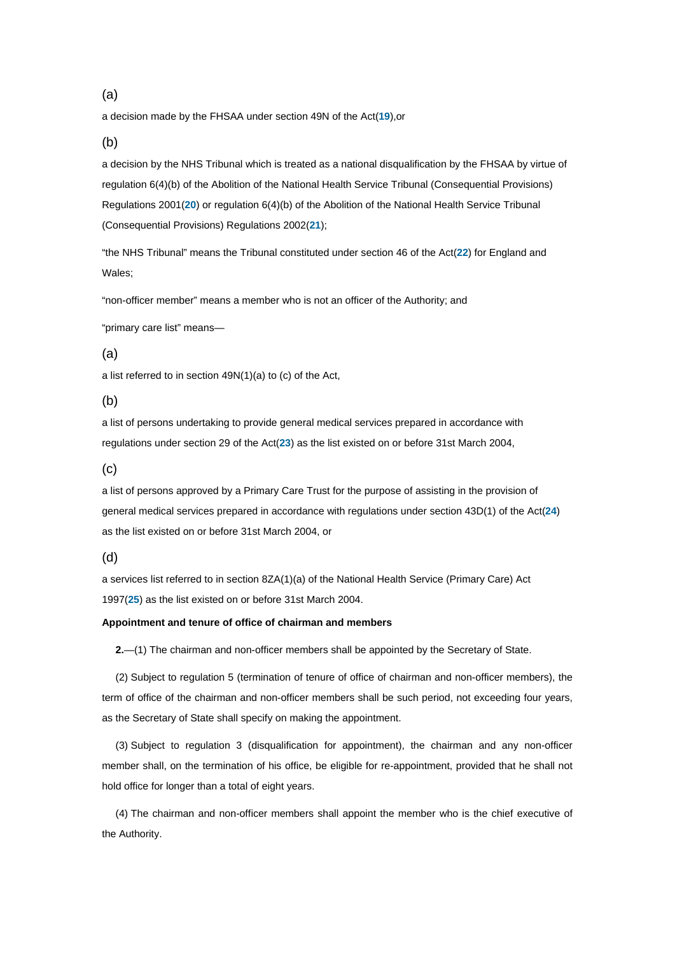# (a)

a decision made by the FHSAA under section 49N of the Act(**19**),or

# (b)

a decision by the NHS Tribunal which is treated as a national disqualification by the FHSAA by virtue of regulation 6(4)(b) of the Abolition of the National Health Service Tribunal (Consequential Provisions) Regulations 2001(**20**) or regulation 6(4)(b) of the Abolition of the National Health Service Tribunal (Consequential Provisions) Regulations 2002(**21**);

"the NHS Tribunal" means the Tribunal constituted under section 46 of the Act(**22**) for England and Wales;

"non-officer member" means a member who is not an officer of the Authority; and

"primary care list" means—

#### (a)

a list referred to in section 49N(1)(a) to (c) of the Act,

# (b)

a list of persons undertaking to provide general medical services prepared in accordance with regulations under section 29 of the Act(**23**) as the list existed on or before 31st March 2004,

# (c)

a list of persons approved by a Primary Care Trust for the purpose of assisting in the provision of general medical services prepared in accordance with regulations under section 43D(1) of the Act(**24**) as the list existed on or before 31st March 2004, or

(d)

a services list referred to in section 8ZA(1)(a) of the National Health Service (Primary Care) Act 1997(**25**) as the list existed on or before 31st March 2004.

# **Appointment and tenure of office of chairman and members**

**2.**—(1) The chairman and non-officer members shall be appointed by the Secretary of State.

(2) Subject to regulation 5 (termination of tenure of office of chairman and non-officer members), the term of office of the chairman and non-officer members shall be such period, not exceeding four years, as the Secretary of State shall specify on making the appointment.

(3) Subject to regulation 3 (disqualification for appointment), the chairman and any non-officer member shall, on the termination of his office, be eligible for re-appointment, provided that he shall not hold office for longer than a total of eight years.

(4) The chairman and non-officer members shall appoint the member who is the chief executive of the Authority.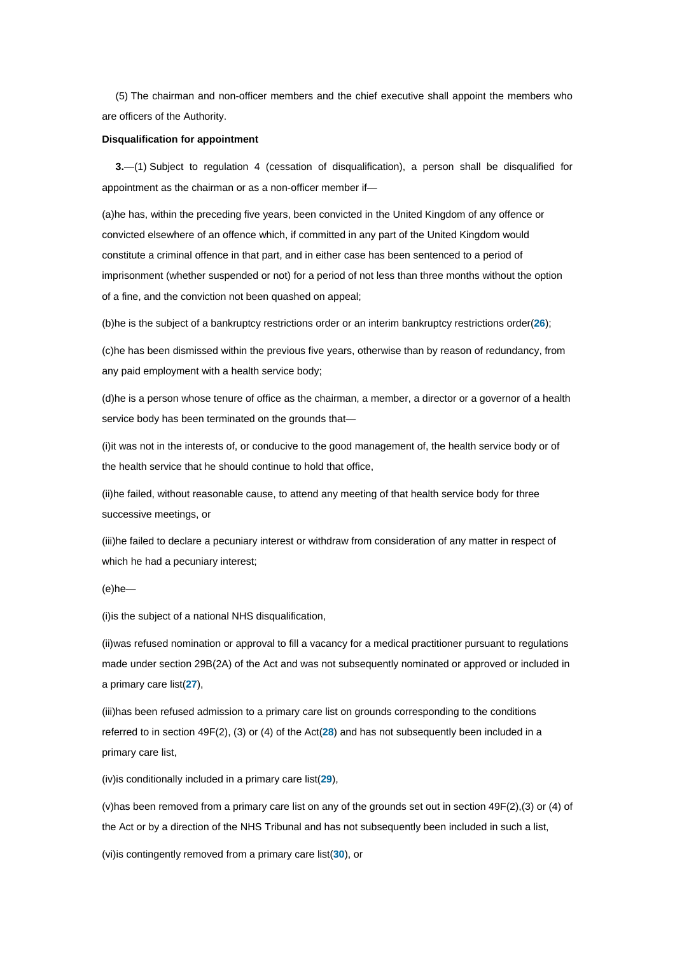(5) The chairman and non-officer members and the chief executive shall appoint the members who are officers of the Authority.

#### **Disqualification for appointment**

**3.**—(1) Subject to regulation 4 (cessation of disqualification), a person shall be disqualified for appointment as the chairman or as a non-officer member if—

(a)he has, within the preceding five years, been convicted in the United Kingdom of any offence or convicted elsewhere of an offence which, if committed in any part of the United Kingdom would constitute a criminal offence in that part, and in either case has been sentenced to a period of imprisonment (whether suspended or not) for a period of not less than three months without the option of a fine, and the conviction not been quashed on appeal;

(b)he is the subject of a bankruptcy restrictions order or an interim bankruptcy restrictions order(**26**);

(c)he has been dismissed within the previous five years, otherwise than by reason of redundancy, from any paid employment with a health service body;

(d)he is a person whose tenure of office as the chairman, a member, a director or a governor of a health service body has been terminated on the grounds that—

(i)it was not in the interests of, or conducive to the good management of, the health service body or of the health service that he should continue to hold that office,

(ii)he failed, without reasonable cause, to attend any meeting of that health service body for three successive meetings, or

(iii)he failed to declare a pecuniary interest or withdraw from consideration of any matter in respect of which he had a pecuniary interest;

(e)he—

(i)is the subject of a national NHS disqualification,

(ii)was refused nomination or approval to fill a vacancy for a medical practitioner pursuant to regulations made under section 29B(2A) of the Act and was not subsequently nominated or approved or included in a primary care list(**27**),

(iii)has been refused admission to a primary care list on grounds corresponding to the conditions referred to in section 49F(2), (3) or (4) of the Act(**28**) and has not subsequently been included in a primary care list,

(iv)is conditionally included in a primary care list(**29**),

(v)has been removed from a primary care list on any of the grounds set out in section 49F(2),(3) or (4) of the Act or by a direction of the NHS Tribunal and has not subsequently been included in such a list,

(vi)is contingently removed from a primary care list(**30**), or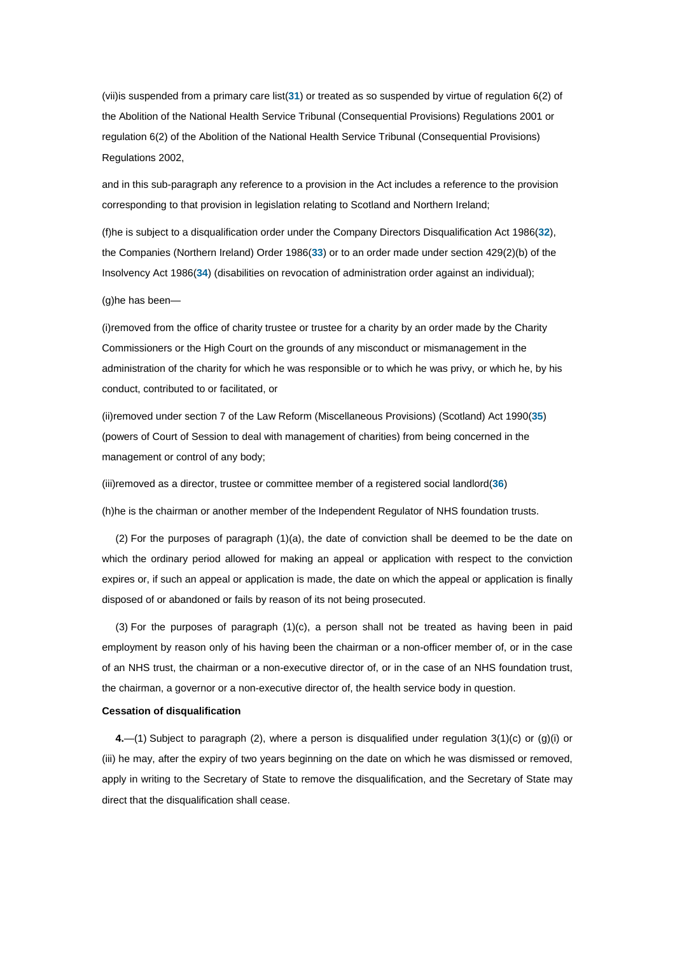(vii)is suspended from a primary care list(**31**) or treated as so suspended by virtue of regulation 6(2) of the Abolition of the National Health Service Tribunal (Consequential Provisions) Regulations 2001 or regulation 6(2) of the Abolition of the National Health Service Tribunal (Consequential Provisions) Regulations 2002,

and in this sub-paragraph any reference to a provision in the Act includes a reference to the provision corresponding to that provision in legislation relating to Scotland and Northern Ireland;

(f)he is subject to a disqualification order under the Company Directors Disqualification Act 1986(**32**), the Companies (Northern Ireland) Order 1986(**33**) or to an order made under section 429(2)(b) of the Insolvency Act 1986(**34**) (disabilities on revocation of administration order against an individual);

(g)he has been—

(i)removed from the office of charity trustee or trustee for a charity by an order made by the Charity Commissioners or the High Court on the grounds of any misconduct or mismanagement in the administration of the charity for which he was responsible or to which he was privy, or which he, by his conduct, contributed to or facilitated, or

(ii)removed under section 7 of the Law Reform (Miscellaneous Provisions) (Scotland) Act 1990(**35**) (powers of Court of Session to deal with management of charities) from being concerned in the management or control of any body;

(iii)removed as a director, trustee or committee member of a registered social landlord(**36**)

(h)he is the chairman or another member of the Independent Regulator of NHS foundation trusts.

(2) For the purposes of paragraph (1)(a), the date of conviction shall be deemed to be the date on which the ordinary period allowed for making an appeal or application with respect to the conviction expires or, if such an appeal or application is made, the date on which the appeal or application is finally disposed of or abandoned or fails by reason of its not being prosecuted.

 $(3)$  For the purposes of paragraph  $(1)(c)$ , a person shall not be treated as having been in paid employment by reason only of his having been the chairman or a non-officer member of, or in the case of an NHS trust, the chairman or a non-executive director of, or in the case of an NHS foundation trust, the chairman, a governor or a non-executive director of, the health service body in question.

#### **Cessation of disqualification**

**4.**—(1) Subject to paragraph (2), where a person is disqualified under regulation 3(1)(c) or (g)(i) or (iii) he may, after the expiry of two years beginning on the date on which he was dismissed or removed, apply in writing to the Secretary of State to remove the disqualification, and the Secretary of State may direct that the disqualification shall cease.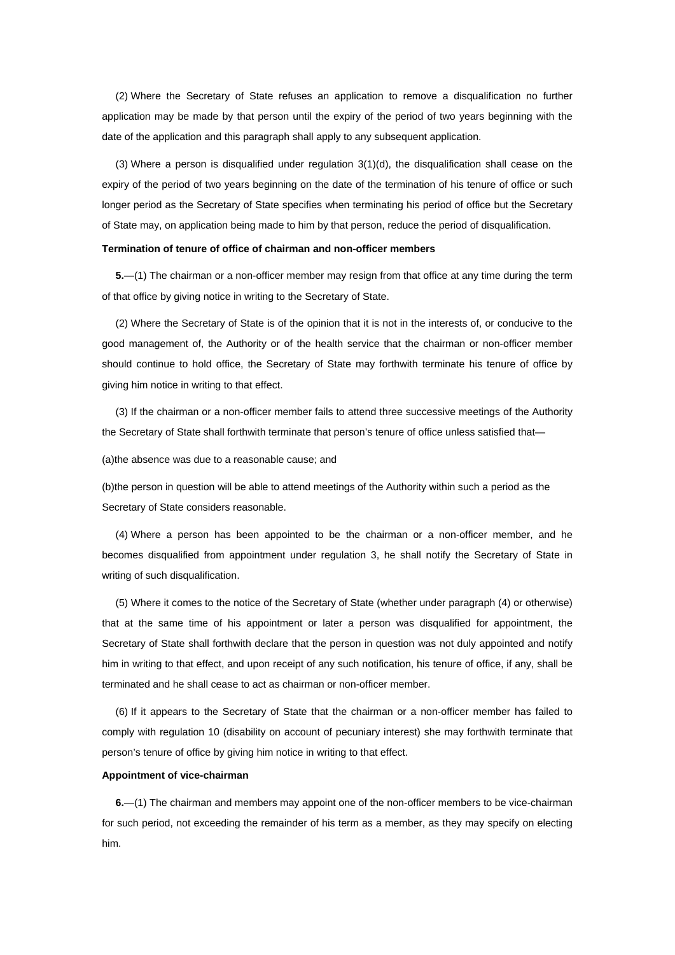(2) Where the Secretary of State refuses an application to remove a disqualification no further application may be made by that person until the expiry of the period of two years beginning with the date of the application and this paragraph shall apply to any subsequent application.

(3) Where a person is disqualified under regulation  $3(1)(d)$ , the disqualification shall cease on the expiry of the period of two years beginning on the date of the termination of his tenure of office or such longer period as the Secretary of State specifies when terminating his period of office but the Secretary of State may, on application being made to him by that person, reduce the period of disqualification.

#### **Termination of tenure of office of chairman and non-officer members**

**5.**—(1) The chairman or a non-officer member may resign from that office at any time during the term of that office by giving notice in writing to the Secretary of State.

(2) Where the Secretary of State is of the opinion that it is not in the interests of, or conducive to the good management of, the Authority or of the health service that the chairman or non-officer member should continue to hold office, the Secretary of State may forthwith terminate his tenure of office by giving him notice in writing to that effect.

(3) If the chairman or a non-officer member fails to attend three successive meetings of the Authority the Secretary of State shall forthwith terminate that person's tenure of office unless satisfied that—

(a)the absence was due to a reasonable cause; and

(b)the person in question will be able to attend meetings of the Authority within such a period as the Secretary of State considers reasonable.

(4) Where a person has been appointed to be the chairman or a non-officer member, and he becomes disqualified from appointment under regulation 3, he shall notify the Secretary of State in writing of such disqualification.

(5) Where it comes to the notice of the Secretary of State (whether under paragraph (4) or otherwise) that at the same time of his appointment or later a person was disqualified for appointment, the Secretary of State shall forthwith declare that the person in question was not duly appointed and notify him in writing to that effect, and upon receipt of any such notification, his tenure of office, if any, shall be terminated and he shall cease to act as chairman or non-officer member.

(6) If it appears to the Secretary of State that the chairman or a non-officer member has failed to comply with regulation 10 (disability on account of pecuniary interest) she may forthwith terminate that person's tenure of office by giving him notice in writing to that effect.

#### **Appointment of vice-chairman**

**6.**—(1) The chairman and members may appoint one of the non-officer members to be vice-chairman for such period, not exceeding the remainder of his term as a member, as they may specify on electing him.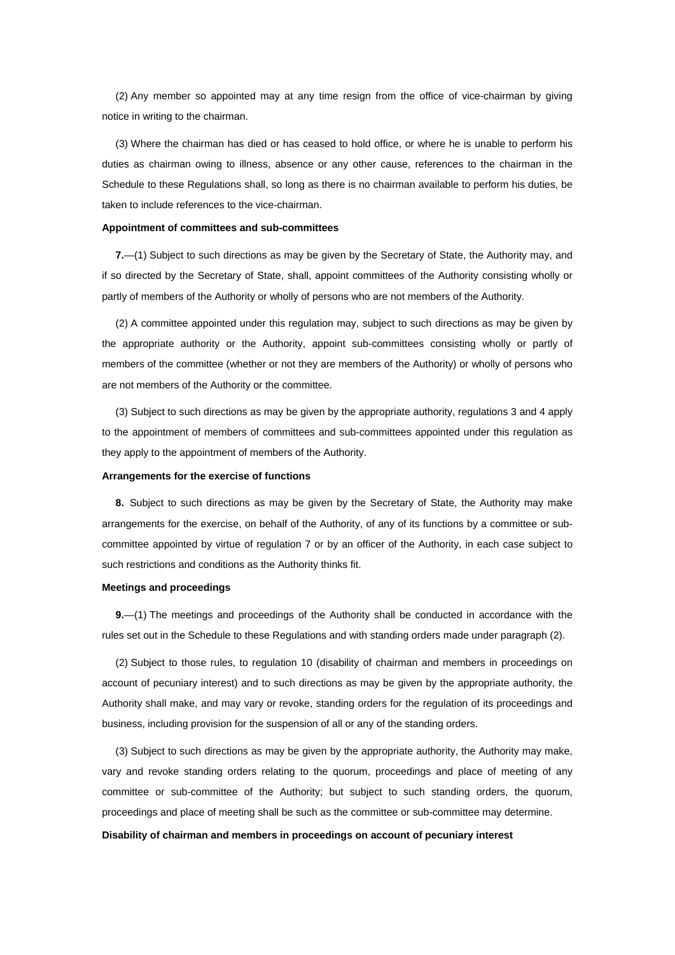(2) Any member so appointed may at any time resign from the office of vice-chairman by giving notice in writing to the chairman.

(3) Where the chairman has died or has ceased to hold office, or where he is unable to perform his duties as chairman owing to illness, absence or any other cause, references to the chairman in the Schedule to these Regulations shall, so long as there is no chairman available to perform his duties, be taken to include references to the vice-chairman.

#### **Appointment of committees and sub-committees**

**7.**—(1) Subject to such directions as may be given by the Secretary of State, the Authority may, and if so directed by the Secretary of State, shall, appoint committees of the Authority consisting wholly or partly of members of the Authority or wholly of persons who are not members of the Authority.

(2) A committee appointed under this regulation may, subject to such directions as may be given by the appropriate authority or the Authority, appoint sub-committees consisting wholly or partly of members of the committee (whether or not they are members of the Authority) or wholly of persons who are not members of the Authority or the committee.

(3) Subject to such directions as may be given by the appropriate authority, regulations 3 and 4 apply to the appointment of members of committees and sub-committees appointed under this regulation as they apply to the appointment of members of the Authority.

#### **Arrangements for the exercise of functions**

**8.** Subject to such directions as may be given by the Secretary of State, the Authority may make arrangements for the exercise, on behalf of the Authority, of any of its functions by a committee or subcommittee appointed by virtue of regulation 7 or by an officer of the Authority, in each case subject to such restrictions and conditions as the Authority thinks fit.

#### **Meetings and proceedings**

**9.**—(1) The meetings and proceedings of the Authority shall be conducted in accordance with the rules set out in the Schedule to these Regulations and with standing orders made under paragraph (2).

(2) Subject to those rules, to regulation 10 (disability of chairman and members in proceedings on account of pecuniary interest) and to such directions as may be given by the appropriate authority, the Authority shall make, and may vary or revoke, standing orders for the regulation of its proceedings and business, including provision for the suspension of all or any of the standing orders.

(3) Subject to such directions as may be given by the appropriate authority, the Authority may make, vary and revoke standing orders relating to the quorum, proceedings and place of meeting of any committee or sub-committee of the Authority; but subject to such standing orders, the quorum, proceedings and place of meeting shall be such as the committee or sub-committee may determine. **Disability of chairman and members in proceedings on account of pecuniary interest**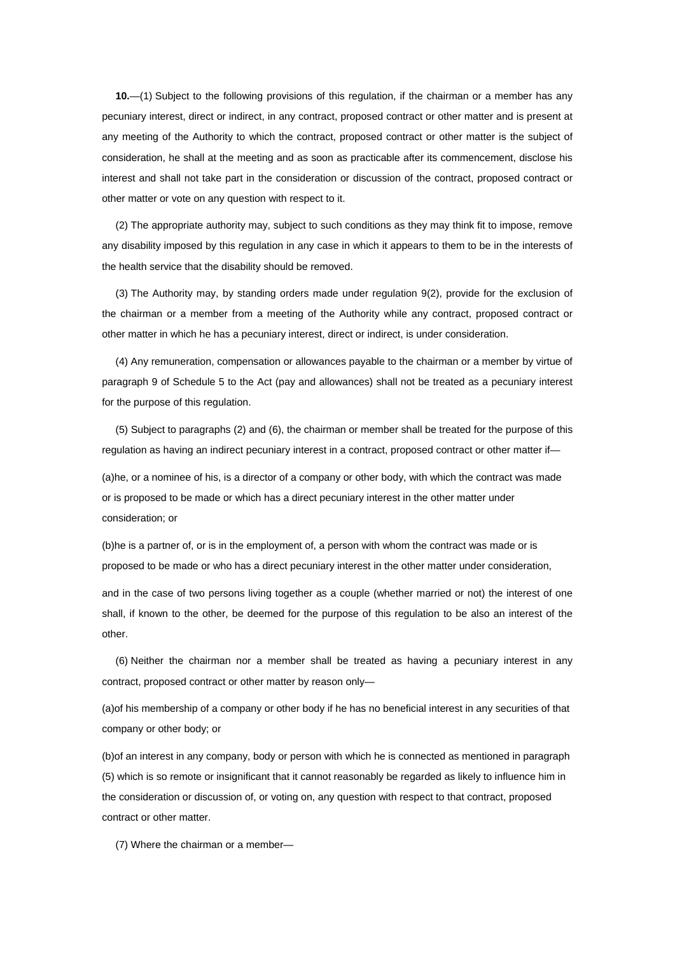**10.**—(1) Subject to the following provisions of this regulation, if the chairman or a member has any pecuniary interest, direct or indirect, in any contract, proposed contract or other matter and is present at any meeting of the Authority to which the contract, proposed contract or other matter is the subject of consideration, he shall at the meeting and as soon as practicable after its commencement, disclose his interest and shall not take part in the consideration or discussion of the contract, proposed contract or other matter or vote on any question with respect to it.

(2) The appropriate authority may, subject to such conditions as they may think fit to impose, remove any disability imposed by this regulation in any case in which it appears to them to be in the interests of the health service that the disability should be removed.

(3) The Authority may, by standing orders made under regulation 9(2), provide for the exclusion of the chairman or a member from a meeting of the Authority while any contract, proposed contract or other matter in which he has a pecuniary interest, direct or indirect, is under consideration.

(4) Any remuneration, compensation or allowances payable to the chairman or a member by virtue of paragraph 9 of Schedule 5 to the Act (pay and allowances) shall not be treated as a pecuniary interest for the purpose of this regulation.

(5) Subject to paragraphs (2) and (6), the chairman or member shall be treated for the purpose of this regulation as having an indirect pecuniary interest in a contract, proposed contract or other matter if—

(a)he, or a nominee of his, is a director of a company or other body, with which the contract was made or is proposed to be made or which has a direct pecuniary interest in the other matter under consideration; or

(b)he is a partner of, or is in the employment of, a person with whom the contract was made or is proposed to be made or who has a direct pecuniary interest in the other matter under consideration,

and in the case of two persons living together as a couple (whether married or not) the interest of one shall, if known to the other, be deemed for the purpose of this regulation to be also an interest of the other.

(6) Neither the chairman nor a member shall be treated as having a pecuniary interest in any contract, proposed contract or other matter by reason only—

(a)of his membership of a company or other body if he has no beneficial interest in any securities of that company or other body; or

(b)of an interest in any company, body or person with which he is connected as mentioned in paragraph (5) which is so remote or insignificant that it cannot reasonably be regarded as likely to influence him in the consideration or discussion of, or voting on, any question with respect to that contract, proposed contract or other matter.

(7) Where the chairman or a member—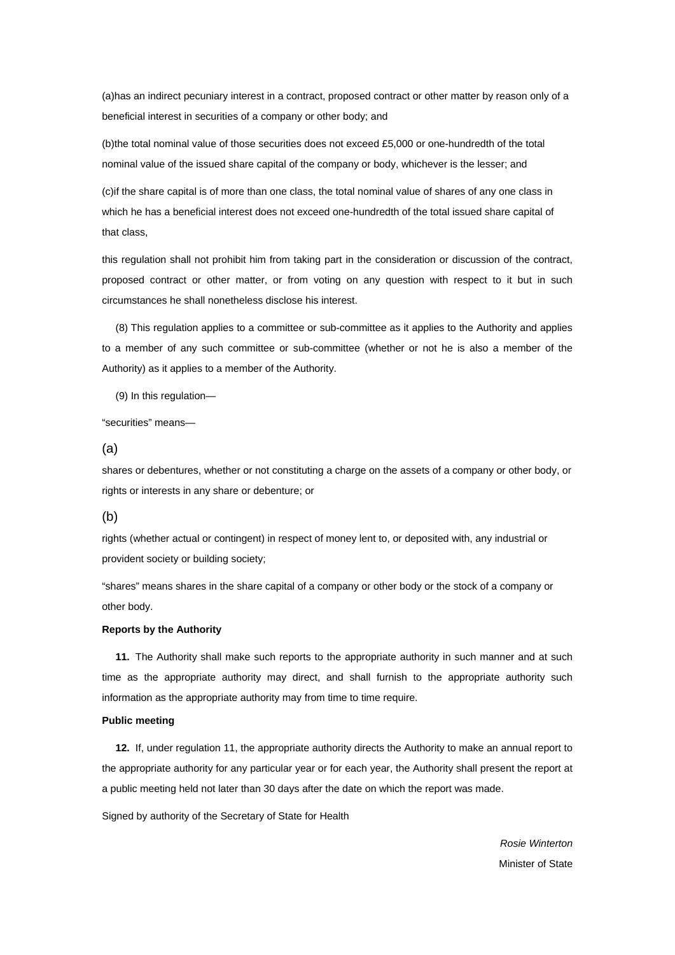(a)has an indirect pecuniary interest in a contract, proposed contract or other matter by reason only of a beneficial interest in securities of a company or other body; and

(b)the total nominal value of those securities does not exceed £5,000 or one-hundredth of the total nominal value of the issued share capital of the company or body, whichever is the lesser; and

(c)if the share capital is of more than one class, the total nominal value of shares of any one class in which he has a beneficial interest does not exceed one-hundredth of the total issued share capital of that class,

this regulation shall not prohibit him from taking part in the consideration or discussion of the contract, proposed contract or other matter, or from voting on any question with respect to it but in such circumstances he shall nonetheless disclose his interest.

(8) This regulation applies to a committee or sub-committee as it applies to the Authority and applies to a member of any such committee or sub-committee (whether or not he is also a member of the Authority) as it applies to a member of the Authority.

(9) In this regulation—

"securities" means—

(a)

shares or debentures, whether or not constituting a charge on the assets of a company or other body, or rights or interests in any share or debenture; or

# (b)

rights (whether actual or contingent) in respect of money lent to, or deposited with, any industrial or provident society or building society;

"shares" means shares in the share capital of a company or other body or the stock of a company or other body.

# **Reports by the Authority**

**11.** The Authority shall make such reports to the appropriate authority in such manner and at such time as the appropriate authority may direct, and shall furnish to the appropriate authority such information as the appropriate authority may from time to time require.

# **Public meeting**

**12.** If, under regulation 11, the appropriate authority directs the Authority to make an annual report to the appropriate authority for any particular year or for each year, the Authority shall present the report at a public meeting held not later than 30 days after the date on which the report was made.

Signed by authority of the Secretary of State for Health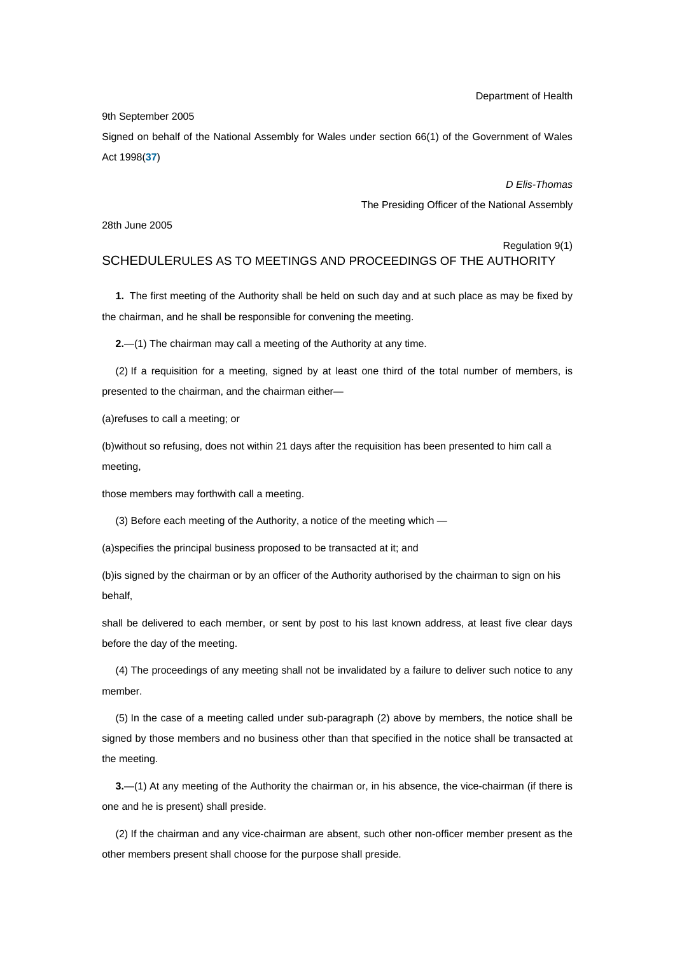Department of Health

9th September 2005

Signed on behalf of the National Assembly for Wales under section 66(1) of the Government of Wales Act 1998(**37**)

> *D Elis-Thomas*  The Presiding Officer of the National Assembly

28th June 2005

Regulation 9(1) SCHEDULERULES AS TO MEETINGS AND PROCEEDINGS OF THE AUTHORITY

**1.** The first meeting of the Authority shall be held on such day and at such place as may be fixed by the chairman, and he shall be responsible for convening the meeting.

**2.**—(1) The chairman may call a meeting of the Authority at any time.

(2) If a requisition for a meeting, signed by at least one third of the total number of members, is presented to the chairman, and the chairman either—

(a)refuses to call a meeting; or

(b)without so refusing, does not within 21 days after the requisition has been presented to him call a meeting,

those members may forthwith call a meeting.

(3) Before each meeting of the Authority, a notice of the meeting which —

(a)specifies the principal business proposed to be transacted at it; and

(b)is signed by the chairman or by an officer of the Authority authorised by the chairman to sign on his behalf,

shall be delivered to each member, or sent by post to his last known address, at least five clear days before the day of the meeting.

(4) The proceedings of any meeting shall not be invalidated by a failure to deliver such notice to any member.

(5) In the case of a meeting called under sub-paragraph (2) above by members, the notice shall be signed by those members and no business other than that specified in the notice shall be transacted at the meeting.

**3.**—(1) At any meeting of the Authority the chairman or, in his absence, the vice-chairman (if there is one and he is present) shall preside.

(2) If the chairman and any vice-chairman are absent, such other non-officer member present as the other members present shall choose for the purpose shall preside.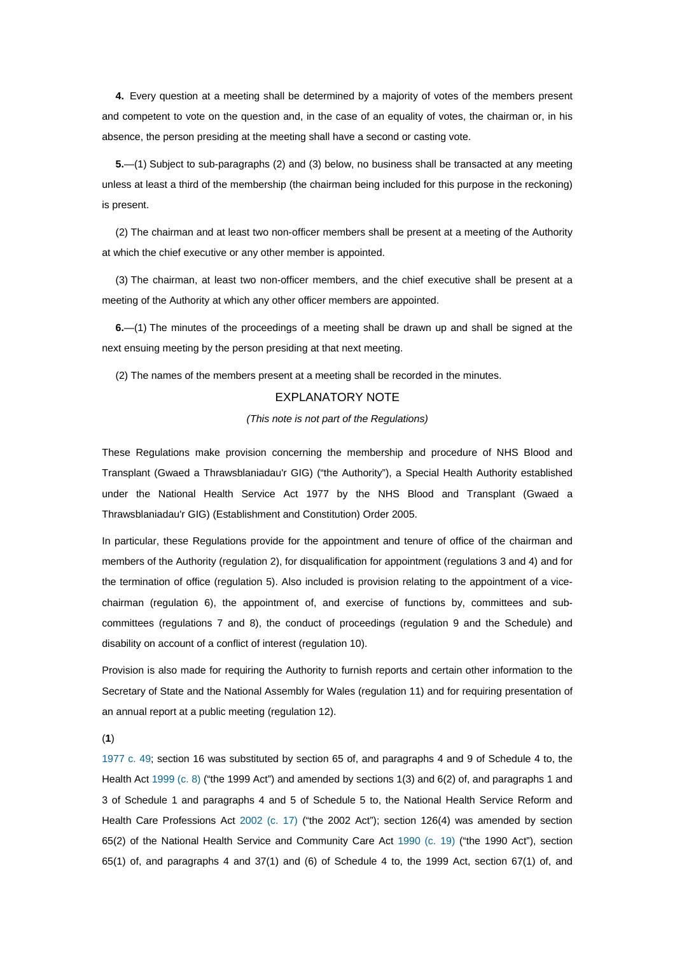**4.** Every question at a meeting shall be determined by a majority of votes of the members present and competent to vote on the question and, in the case of an equality of votes, the chairman or, in his absence, the person presiding at the meeting shall have a second or casting vote.

**5.**—(1) Subject to sub-paragraphs (2) and (3) below, no business shall be transacted at any meeting unless at least a third of the membership (the chairman being included for this purpose in the reckoning) is present.

(2) The chairman and at least two non-officer members shall be present at a meeting of the Authority at which the chief executive or any other member is appointed.

(3) The chairman, at least two non-officer members, and the chief executive shall be present at a meeting of the Authority at which any other officer members are appointed.

**6.**—(1) The minutes of the proceedings of a meeting shall be drawn up and shall be signed at the next ensuing meeting by the person presiding at that next meeting.

(2) The names of the members present at a meeting shall be recorded in the minutes.

# EXPLANATORY NOTE

#### *(This note is not part of the Regulations)*

These Regulations make provision concerning the membership and procedure of NHS Blood and Transplant (Gwaed a Thrawsblaniadau'r GIG) ("the Authority"), a Special Health Authority established under the National Health Service Act 1977 by the NHS Blood and Transplant (Gwaed a Thrawsblaniadau'r GIG) (Establishment and Constitution) Order 2005.

In particular, these Regulations provide for the appointment and tenure of office of the chairman and members of the Authority (regulation 2), for disqualification for appointment (regulations 3 and 4) and for the termination of office (regulation 5). Also included is provision relating to the appointment of a vicechairman (regulation 6), the appointment of, and exercise of functions by, committees and subcommittees (regulations 7 and 8), the conduct of proceedings (regulation 9 and the Schedule) and disability on account of a conflict of interest (regulation 10).

Provision is also made for requiring the Authority to furnish reports and certain other information to the Secretary of State and the National Assembly for Wales (regulation 11) and for requiring presentation of an annual report at a public meeting (regulation 12).

(**1**)

1977 c. 49; section 16 was substituted by section 65 of, and paragraphs 4 and 9 of Schedule 4 to, the Health Act 1999 (c. 8) ("the 1999 Act") and amended by sections 1(3) and 6(2) of, and paragraphs 1 and 3 of Schedule 1 and paragraphs 4 and 5 of Schedule 5 to, the National Health Service Reform and Health Care Professions Act 2002 (c. 17) ("the 2002 Act"); section 126(4) was amended by section 65(2) of the National Health Service and Community Care Act 1990 (c. 19) ("the 1990 Act"), section 65(1) of, and paragraphs 4 and 37(1) and (6) of Schedule 4 to, the 1999 Act, section 67(1) of, and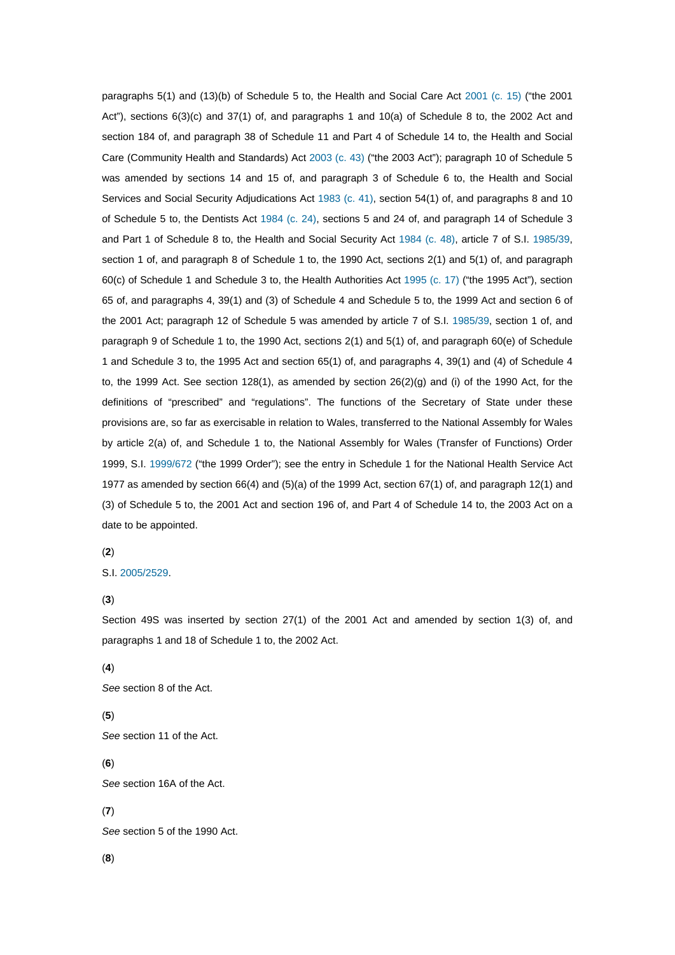paragraphs 5(1) and (13)(b) of Schedule 5 to, the Health and Social Care Act 2001 (c. 15) ("the 2001 Act"), sections 6(3)(c) and 37(1) of, and paragraphs 1 and 10(a) of Schedule 8 to, the 2002 Act and section 184 of, and paragraph 38 of Schedule 11 and Part 4 of Schedule 14 to, the Health and Social Care (Community Health and Standards) Act 2003 (c. 43) ("the 2003 Act"); paragraph 10 of Schedule 5 was amended by sections 14 and 15 of, and paragraph 3 of Schedule 6 to, the Health and Social Services and Social Security Adjudications Act 1983 (c. 41), section 54(1) of, and paragraphs 8 and 10 of Schedule 5 to, the Dentists Act 1984 (c. 24), sections 5 and 24 of, and paragraph 14 of Schedule 3 and Part 1 of Schedule 8 to, the Health and Social Security Act 1984 (c. 48), article 7 of S.I. 1985/39, section 1 of, and paragraph 8 of Schedule 1 to, the 1990 Act, sections 2(1) and 5(1) of, and paragraph 60(c) of Schedule 1 and Schedule 3 to, the Health Authorities Act 1995 (c. 17) ("the 1995 Act"), section 65 of, and paragraphs 4, 39(1) and (3) of Schedule 4 and Schedule 5 to, the 1999 Act and section 6 of the 2001 Act; paragraph 12 of Schedule 5 was amended by article 7 of S.I. 1985/39, section 1 of, and paragraph 9 of Schedule 1 to, the 1990 Act, sections 2(1) and 5(1) of, and paragraph 60(e) of Schedule 1 and Schedule 3 to, the 1995 Act and section 65(1) of, and paragraphs 4, 39(1) and (4) of Schedule 4 to, the 1999 Act. See section 128(1), as amended by section 26(2)(g) and (i) of the 1990 Act, for the definitions of "prescribed" and "regulations". The functions of the Secretary of State under these provisions are, so far as exercisable in relation to Wales, transferred to the National Assembly for Wales by article 2(a) of, and Schedule 1 to, the National Assembly for Wales (Transfer of Functions) Order 1999, S.I. 1999/672 ("the 1999 Order"); see the entry in Schedule 1 for the National Health Service Act 1977 as amended by section 66(4) and (5)(a) of the 1999 Act, section 67(1) of, and paragraph 12(1) and (3) of Schedule 5 to, the 2001 Act and section 196 of, and Part 4 of Schedule 14 to, the 2003 Act on a date to be appointed.

#### (**2**)

# S.I. 2005/2529.

# (**3**)

Section 49S was inserted by section 27(1) of the 2001 Act and amended by section 1(3) of, and paragraphs 1 and 18 of Schedule 1 to, the 2002 Act.

# (**4**)

*See* section 8 of the Act.

# (**5**)

*See* section 11 of the Act.

# (**6**)

*See* section 16A of the Act.

# (**7**)

*See* section 5 of the 1990 Act.

# (**8**)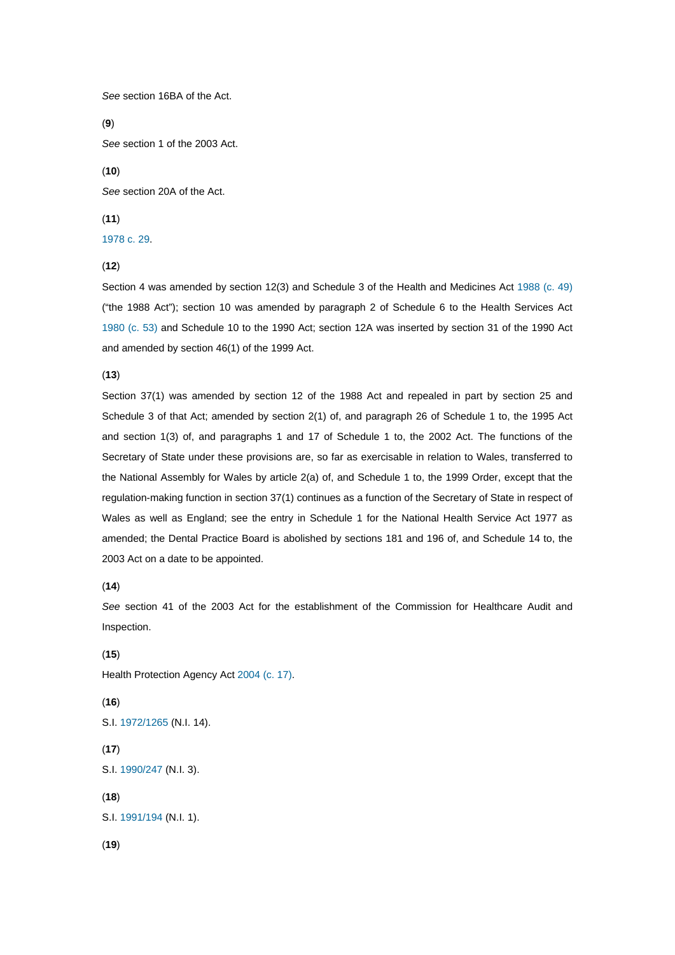*See* section 16BA of the Act.

(**9**)

*See* section 1 of the 2003 Act.

(**10**)

*See* section 20A of the Act.

#### (**11**)

1978 c. 29.

(**12**)

Section 4 was amended by section 12(3) and Schedule 3 of the Health and Medicines Act 1988 (c. 49) ("the 1988 Act"); section 10 was amended by paragraph 2 of Schedule 6 to the Health Services Act 1980 (c. 53) and Schedule 10 to the 1990 Act; section 12A was inserted by section 31 of the 1990 Act and amended by section 46(1) of the 1999 Act.

#### (**13**)

Section 37(1) was amended by section 12 of the 1988 Act and repealed in part by section 25 and Schedule 3 of that Act; amended by section 2(1) of, and paragraph 26 of Schedule 1 to, the 1995 Act and section 1(3) of, and paragraphs 1 and 17 of Schedule 1 to, the 2002 Act. The functions of the Secretary of State under these provisions are, so far as exercisable in relation to Wales, transferred to the National Assembly for Wales by article 2(a) of, and Schedule 1 to, the 1999 Order, except that the regulation-making function in section 37(1) continues as a function of the Secretary of State in respect of Wales as well as England; see the entry in Schedule 1 for the National Health Service Act 1977 as amended; the Dental Practice Board is abolished by sections 181 and 196 of, and Schedule 14 to, the 2003 Act on a date to be appointed.

(**14**)

*See* section 41 of the 2003 Act for the establishment of the Commission for Healthcare Audit and Inspection.

(**15**) Health Protection Agency Act 2004 (c. 17). (**16**) S.I. 1972/1265 (N.I. 14). (**17**) S.I. 1990/247 (N.I. 3). (**18**) S.I. 1991/194 (N.I. 1). (**19**)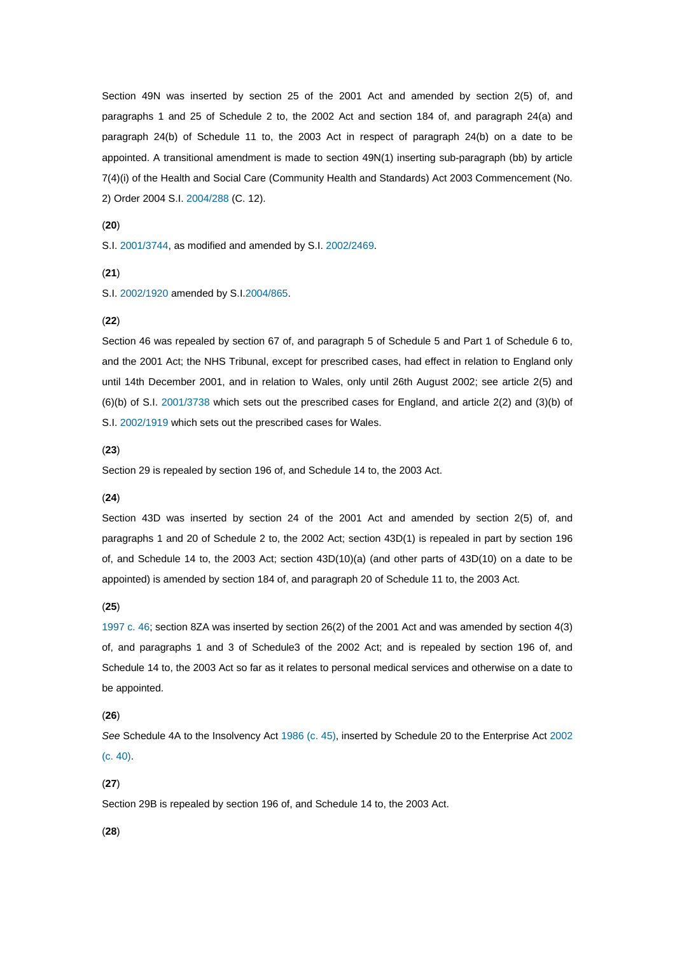Section 49N was inserted by section 25 of the 2001 Act and amended by section 2(5) of, and paragraphs 1 and 25 of Schedule 2 to, the 2002 Act and section 184 of, and paragraph 24(a) and paragraph 24(b) of Schedule 11 to, the 2003 Act in respect of paragraph 24(b) on a date to be appointed. A transitional amendment is made to section 49N(1) inserting sub-paragraph (bb) by article 7(4)(i) of the Health and Social Care (Community Health and Standards) Act 2003 Commencement (No. 2) Order 2004 S.I. 2004/288 (C. 12).

#### (**20**)

S.I. 2001/3744, as modified and amended by S.I. 2002/2469.

(**21**)

S.I. 2002/1920 amended by S.I.2004/865.

#### (**22**)

Section 46 was repealed by section 67 of, and paragraph 5 of Schedule 5 and Part 1 of Schedule 6 to, and the 2001 Act; the NHS Tribunal, except for prescribed cases, had effect in relation to England only until 14th December 2001, and in relation to Wales, only until 26th August 2002; see article 2(5) and (6)(b) of S.I. 2001/3738 which sets out the prescribed cases for England, and article 2(2) and (3)(b) of S.I. 2002/1919 which sets out the prescribed cases for Wales.

#### (**23**)

Section 29 is repealed by section 196 of, and Schedule 14 to, the 2003 Act.

#### (**24**)

Section 43D was inserted by section 24 of the 2001 Act and amended by section 2(5) of, and paragraphs 1 and 20 of Schedule 2 to, the 2002 Act; section 43D(1) is repealed in part by section 196 of, and Schedule 14 to, the 2003 Act; section 43D(10)(a) (and other parts of 43D(10) on a date to be appointed) is amended by section 184 of, and paragraph 20 of Schedule 11 to, the 2003 Act.

#### (**25**)

1997 c. 46; section 8ZA was inserted by section 26(2) of the 2001 Act and was amended by section 4(3) of, and paragraphs 1 and 3 of Schedule3 of the 2002 Act; and is repealed by section 196 of, and Schedule 14 to, the 2003 Act so far as it relates to personal medical services and otherwise on a date to be appointed.

# (**26**)

*See* Schedule 4A to the Insolvency Act 1986 (c. 45), inserted by Schedule 20 to the Enterprise Act 2002 (c. 40).

#### (**27**)

Section 29B is repealed by section 196 of, and Schedule 14 to, the 2003 Act.

#### (**28**)